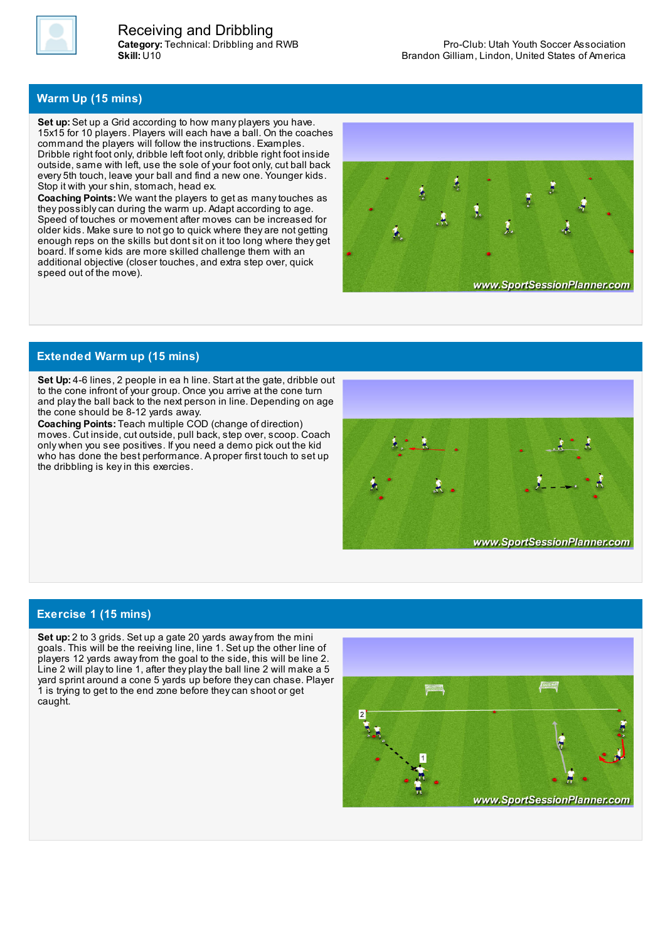

**Category:** Technical: Dribbling and RWB **Skill:** U10 Receiving and Dribbling

## **Warm Up (15 mins)**

**Set up:** Set up a Grid according to how many players you have. 15x15 for 10 players. Players will each have a ball. On the coaches command the players will follow the instructions. Examples. Dribble right foot only, dribble left foot only, dribble right foot inside outside, same with left, use the sole of your foot only, cut ball back every 5th touch, leave your ball and find a new one. Younger kids. Stop it with your shin, stomach, head ex.

**Coaching Points:** We want the players to get as manytouches as they possiblycan during the warm up. Adapt according to age. Speed of touches or movement after moves can be increased for older kids. Make sure to not go to quick where they are not getting enough reps on the skills but dont sit on it too long where they get board. If some kids are more skilled challenge them with an additional objective (closer touches, and extra step over, quick speed out of the move).



## **Extended Warm up (15 mins)**

**Set Up:** 4-6 lines, 2 people in ea h line. Start at the gate, dribble out to the cone infront of your group. Once you arrive at the cone turn and playthe ball back to the next person in line. Depending on age the cone should be 8-12 yards away.

**Coaching Points:** Teach multiple COD (change of direction) moves. Cut inside, cut outside, pull back, step over, scoop. Coach only when you see positives. If you need a demo pick out the kid who has done the best performance. A proper first touch to set up the dribbling is keyin this exercies.



## **Exercise 1 (15 mins)**

**Set up:** 2 to 3 grids. Set up a gate 20 yards awayfrom the mini goals. This will be the reeiving line, line 1. Set up the other line of players 12 yards awayfrom the goal to the side, this will be line 2. Line 2 will playto line 1, after they playthe ball line 2 will make a 5 yard sprint around a cone 5 yards up before theycan chase. Player 1 is trying to get to the end zone before theycan shoot or get caught.